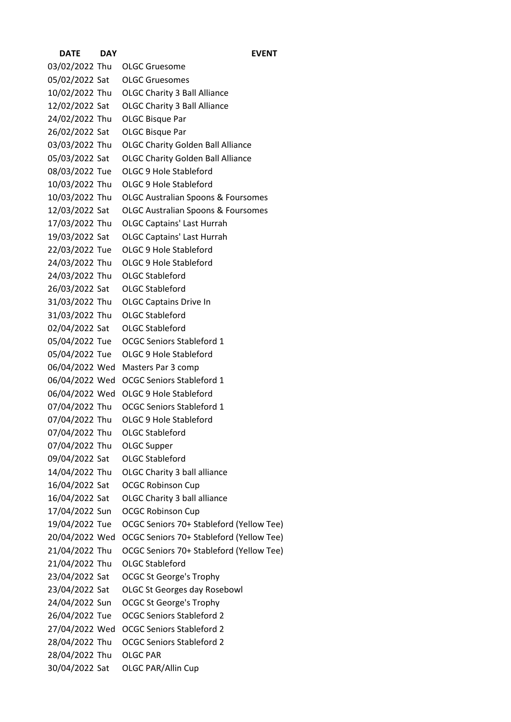| <b>DATE</b>    | DAY | <b>EVENT</b>                                  |
|----------------|-----|-----------------------------------------------|
| 03/02/2022 Thu |     | <b>OLGC Gruesome</b>                          |
| 05/02/2022 Sat |     | <b>OLGC Gruesomes</b>                         |
| 10/02/2022 Thu |     | <b>OLGC Charity 3 Ball Alliance</b>           |
| 12/02/2022 Sat |     | <b>OLGC Charity 3 Ball Alliance</b>           |
| 24/02/2022 Thu |     | <b>OLGC Bisque Par</b>                        |
| 26/02/2022 Sat |     | <b>OLGC Bisque Par</b>                        |
| 03/03/2022 Thu |     | <b>OLGC Charity Golden Ball Alliance</b>      |
| 05/03/2022 Sat |     | <b>OLGC Charity Golden Ball Alliance</b>      |
| 08/03/2022 Tue |     | OLGC 9 Hole Stableford                        |
| 10/03/2022 Thu |     | OLGC 9 Hole Stableford                        |
| 10/03/2022 Thu |     | <b>OLGC Australian Spoons &amp; Foursomes</b> |
| 12/03/2022 Sat |     | <b>OLGC Australian Spoons &amp; Foursomes</b> |
| 17/03/2022 Thu |     | <b>OLGC Captains' Last Hurrah</b>             |
| 19/03/2022 Sat |     | <b>OLGC Captains' Last Hurrah</b>             |
| 22/03/2022 Tue |     | OLGC 9 Hole Stableford                        |
| 24/03/2022 Thu |     | OLGC 9 Hole Stableford                        |
| 24/03/2022 Thu |     | <b>OLGC Stableford</b>                        |
| 26/03/2022 Sat |     | <b>OLGC Stableford</b>                        |
| 31/03/2022 Thu |     | <b>OLGC Captains Drive In</b>                 |
| 31/03/2022 Thu |     | <b>OLGC Stableford</b>                        |
| 02/04/2022 Sat |     | <b>OLGC Stableford</b>                        |
| 05/04/2022 Tue |     | <b>OCGC Seniors Stableford 1</b>              |
| 05/04/2022 Tue |     | OLGC 9 Hole Stableford                        |
| 06/04/2022 Wed |     | Masters Par 3 comp                            |
| 06/04/2022 Wed |     | <b>OCGC Seniors Stableford 1</b>              |
| 06/04/2022 Wed |     | OLGC 9 Hole Stableford                        |
| 07/04/2022 Thu |     | <b>OCGC Seniors Stableford 1</b>              |
| 07/04/2022 Thu |     | OLGC 9 Hole Stableford                        |
| 07/04/2022 Thu |     | <b>OLGC Stableford</b>                        |
| 07/04/2022 Thu |     | OLGC Supper                                   |
| 09/04/2022 Sat |     | <b>OLGC Stableford</b>                        |
| 14/04/2022 Thu |     | OLGC Charity 3 ball alliance                  |
| 16/04/2022 Sat |     | <b>OCGC Robinson Cup</b>                      |
| 16/04/2022 Sat |     | OLGC Charity 3 ball alliance                  |
| 17/04/2022 Sun |     | <b>OCGC Robinson Cup</b>                      |
| 19/04/2022 Tue |     | OCGC Seniors 70+ Stableford (Yellow Tee)      |
| 20/04/2022 Wed |     | OCGC Seniors 70+ Stableford (Yellow Tee)      |
| 21/04/2022 Thu |     | OCGC Seniors 70+ Stableford (Yellow Tee)      |
| 21/04/2022 Thu |     | <b>OLGC Stableford</b>                        |
| 23/04/2022 Sat |     | <b>OCGC St George's Trophy</b>                |
| 23/04/2022 Sat |     | <b>OLGC St Georges day Rosebowl</b>           |
| 24/04/2022 Sun |     | <b>OCGC St George's Trophy</b>                |
| 26/04/2022 Tue |     | <b>OCGC Seniors Stableford 2</b>              |
| 27/04/2022 Wed |     | <b>OCGC Seniors Stableford 2</b>              |
| 28/04/2022 Thu |     | <b>OCGC Seniors Stableford 2</b>              |
| 28/04/2022 Thu |     | <b>OLGC PAR</b>                               |
| 30/04/2022 Sat |     | <b>OLGC PAR/Allin Cup</b>                     |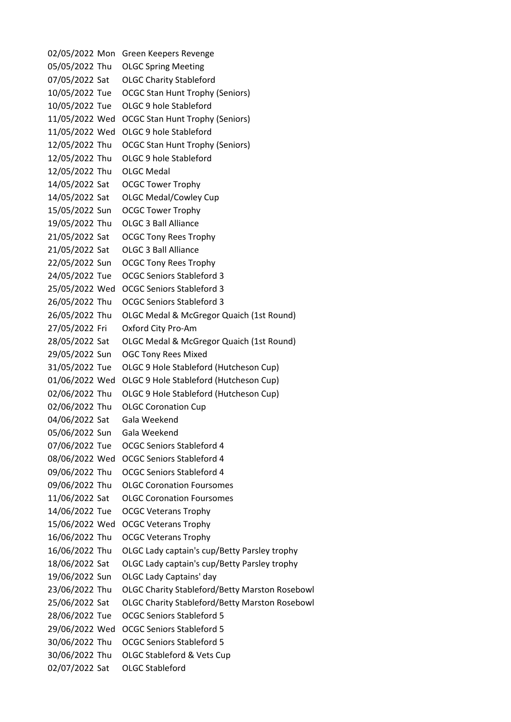02/05/2022 Mon Green Keepers Revenge 05/05/2022 Thu OLGC Spring Meeting 07/05/2022 Sat OLGC Charity Stableford 10/05/2022 Tue OCGC Stan Hunt Trophy (Seniors) 10/05/2022 Tue OLGC 9 hole Stableford 11/05/2022 Wed OCGC Stan Hunt Trophy (Seniors) 11/05/2022 Wed OLGC 9 hole Stableford 12/05/2022 Thu OCGC Stan Hunt Trophy (Seniors) 12/05/2022 Thu OLGC 9 hole Stableford 12/05/2022 Thu OLGC Medal 14/05/2022 Sat OCGC Tower Trophy 14/05/2022 Sat OLGC Medal/Cowley Cup 15/05/2022 Sun OCGC Tower Trophy 19/05/2022 Thu OLGC 3 Ball Alliance 21/05/2022 Sat OCGC Tony Rees Trophy 21/05/2022 Sat OLGC 3 Ball Alliance 22/05/2022 Sun OCGC Tony Rees Trophy 24/05/2022 Tue OCGC Seniors Stableford 3 25/05/2022 Wed OCGC Seniors Stableford 3 26/05/2022 Thu OCGC Seniors Stableford 3 26/05/2022 Thu OLGC Medal & McGregor Quaich (1st Round) 27/05/2022 Fri Oxford City Pro-Am 28/05/2022 Sat OLGC Medal & McGregor Quaich (1st Round) 29/05/2022 Sun OGC Tony Rees Mixed 31/05/2022 Tue OLGC 9 Hole Stableford (Hutcheson Cup) 01/06/2022 Wed OLGC 9 Hole Stableford (Hutcheson Cup) 02/06/2022 Thu OLGC 9 Hole Stableford (Hutcheson Cup) 02/06/2022 Thu OLGC Coronation Cup 04/06/2022 Sat Gala Weekend 05/06/2022 Sun Gala Weekend 07/06/2022 Tue OCGC Seniors Stableford 4 08/06/2022 Wed OCGC Seniors Stableford 4 09/06/2022 Thu OCGC Seniors Stableford 4 09/06/2022 Thu OLGC Coronation Foursomes 11/06/2022 Sat OLGC Coronation Foursomes 14/06/2022 Tue OCGC Veterans Trophy 15/06/2022 Wed OCGC Veterans Trophy 16/06/2022 Thu OCGC Veterans Trophy 16/06/2022 Thu OLGC Lady captain's cup/Betty Parsley trophy 18/06/2022 Sat OLGC Lady captain's cup/Betty Parsley trophy 19/06/2022 Sun OLGC Lady Captains' day 23/06/2022 Thu OLGC Charity Stableford/Betty Marston Rosebowl 25/06/2022 Sat OLGC Charity Stableford/Betty Marston Rosebowl 28/06/2022 Tue OCGC Seniors Stableford 5 29/06/2022 Wed OCGC Seniors Stableford 5 30/06/2022 Thu OCGC Seniors Stableford 5 30/06/2022 Thu OLGC Stableford & Vets Cup 02/07/2022 Sat OLGC Stableford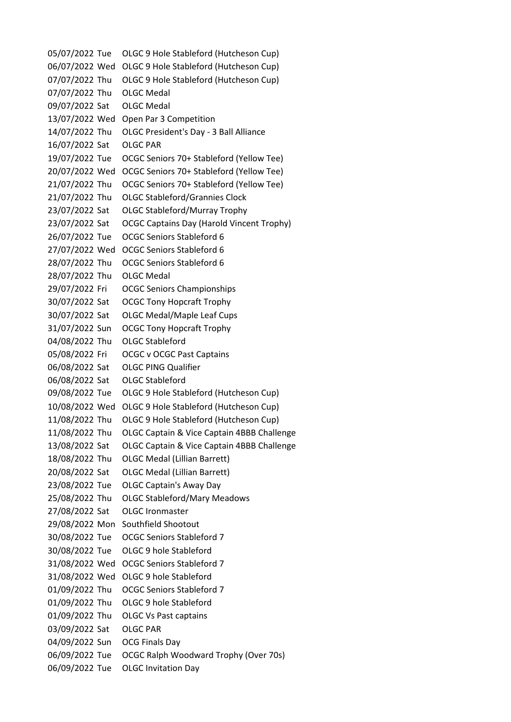05/07/2022 Tue OLGC 9 Hole Stableford (Hutcheson Cup) 06/07/2022 Wed OLGC 9 Hole Stableford (Hutcheson Cup) 07/07/2022 Thu OLGC 9 Hole Stableford (Hutcheson Cup) 07/07/2022 Thu OLGC Medal 09/07/2022 Sat OLGC Medal 13/07/2022 Wed Open Par 3 Competition 14/07/2022 Thu OLGC President's Day - 3 Ball Alliance 16/07/2022 Sat OLGC PAR 19/07/2022 Tue OCGC Seniors 70+ Stableford (Yellow Tee) 20/07/2022 Wed OCGC Seniors 70+ Stableford (Yellow Tee) 21/07/2022 Thu OCGC Seniors 70+ Stableford (Yellow Tee) 21/07/2022 Thu OLGC Stableford/Grannies Clock 23/07/2022 Sat OLGC Stableford/Murray Trophy 23/07/2022 Sat OCGC Captains Day (Harold Vincent Trophy) 26/07/2022 Tue OCGC Seniors Stableford 6 27/07/2022 Wed OCGC Seniors Stableford 6 28/07/2022 Thu OCGC Seniors Stableford 6 28/07/2022 Thu OLGC Medal 29/07/2022 Fri OCGC Seniors Championships 30/07/2022 Sat OCGC Tony Hopcraft Trophy 30/07/2022 Sat OLGC Medal/Maple Leaf Cups 31/07/2022 Sun OCGC Tony Hopcraft Trophy 04/08/2022 Thu OLGC Stableford 05/08/2022 Fri OCGC v OCGC Past Captains 06/08/2022 Sat OLGC PING Qualifier 06/08/2022 Sat OLGC Stableford 09/08/2022 Tue OLGC 9 Hole Stableford (Hutcheson Cup) 10/08/2022 Wed OLGC 9 Hole Stableford (Hutcheson Cup) 11/08/2022 Thu OLGC 9 Hole Stableford (Hutcheson Cup) 11/08/2022 Thu OLGC Captain & Vice Captain 4BBB Challenge 13/08/2022 Sat OLGC Captain & Vice Captain 4BBB Challenge 18/08/2022 Thu OLGC Medal (Lillian Barrett) 20/08/2022 Sat OLGC Medal (Lillian Barrett) 23/08/2022 Tue OLGC Captain's Away Day 25/08/2022 Thu OLGC Stableford/Mary Meadows 27/08/2022 Sat OLGC Ironmaster 29/08/2022 Mon Southfield Shootout 30/08/2022 Tue OCGC Seniors Stableford 7 30/08/2022 Tue OLGC 9 hole Stableford 31/08/2022 Wed OCGC Seniors Stableford 7 31/08/2022 Wed OLGC 9 hole Stableford 01/09/2022 Thu OCGC Seniors Stableford 7 01/09/2022 Thu OLGC 9 hole Stableford 01/09/2022 Thu OLGC Vs Past captains 03/09/2022 Sat OLGC PAR 04/09/2022 Sun OCG Finals Day 06/09/2022 Tue OCGC Ralph Woodward Trophy (Over 70s) 06/09/2022 Tue OLGC Invitation Day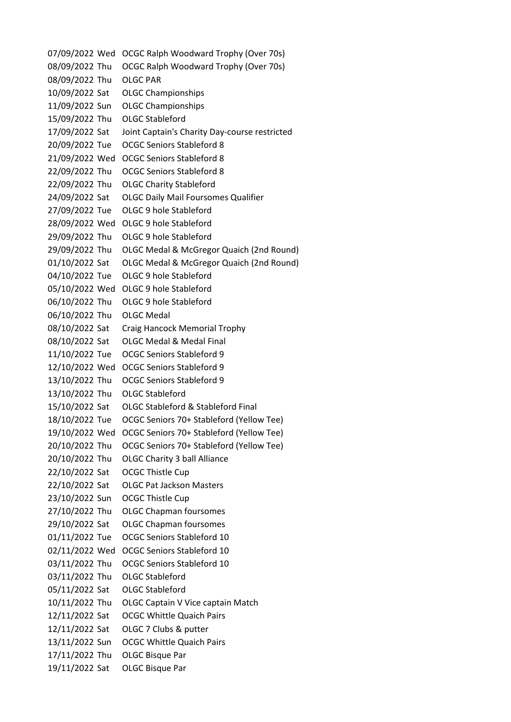07/09/2022 Wed OCGC Ralph Woodward Trophy (Over 70s) 08/09/2022 Thu OCGC Ralph Woodward Trophy (Over 70s) 08/09/2022 Thu OLGC PAR 10/09/2022 Sat OLGC Championships 11/09/2022 Sun OLGC Championships 15/09/2022 Thu OLGC Stableford 17/09/2022 Sat Joint Captain's Charity Day-course restricted 20/09/2022 Tue OCGC Seniors Stableford 8 21/09/2022 Wed OCGC Seniors Stableford 8 22/09/2022 Thu OCGC Seniors Stableford 8 22/09/2022 Thu OLGC Charity Stableford 24/09/2022 Sat OLGC Daily Mail Foursomes Qualifier 27/09/2022 Tue OLGC 9 hole Stableford 28/09/2022 Wed OLGC 9 hole Stableford 29/09/2022 Thu OLGC 9 hole Stableford 29/09/2022 Thu OLGC Medal & McGregor Quaich (2nd Round) 01/10/2022 Sat OLGC Medal & McGregor Quaich (2nd Round) 04/10/2022 Tue OLGC 9 hole Stableford 05/10/2022 Wed OLGC 9 hole Stableford 06/10/2022 Thu OLGC 9 hole Stableford 06/10/2022 Thu OLGC Medal 08/10/2022 Sat Craig Hancock Memorial Trophy 08/10/2022 Sat OLGC Medal & Medal Final 11/10/2022 Tue OCGC Seniors Stableford 9 12/10/2022 Wed OCGC Seniors Stableford 9 13/10/2022 Thu OCGC Seniors Stableford 9 13/10/2022 Thu OLGC Stableford 15/10/2022 Sat OLGC Stableford & Stableford Final 18/10/2022 Tue OCGC Seniors 70+ Stableford (Yellow Tee) 19/10/2022 Wed OCGC Seniors 70+ Stableford (Yellow Tee) 20/10/2022 Thu OCGC Seniors 70+ Stableford (Yellow Tee) 20/10/2022 Thu OLGC Charity 3 ball Alliance 22/10/2022 Sat OCGC Thistle Cup 22/10/2022 Sat OLGC Pat Jackson Masters 23/10/2022 Sun OCGC Thistle Cup 27/10/2022 Thu OLGC Chapman foursomes 29/10/2022 Sat OLGC Chapman foursomes 01/11/2022 Tue OCGC Seniors Stableford 10 02/11/2022 Wed OCGC Seniors Stableford 10 03/11/2022 Thu OCGC Seniors Stableford 10 03/11/2022 Thu OLGC Stableford 05/11/2022 Sat OLGC Stableford 10/11/2022 Thu OLGC Captain V Vice captain Match 12/11/2022 Sat OCGC Whittle Quaich Pairs 12/11/2022 Sat OLGC 7 Clubs & putter 13/11/2022 Sun OCGC Whittle Quaich Pairs 17/11/2022 Thu OLGC Bisque Par 19/11/2022 Sat OLGC Bisque Par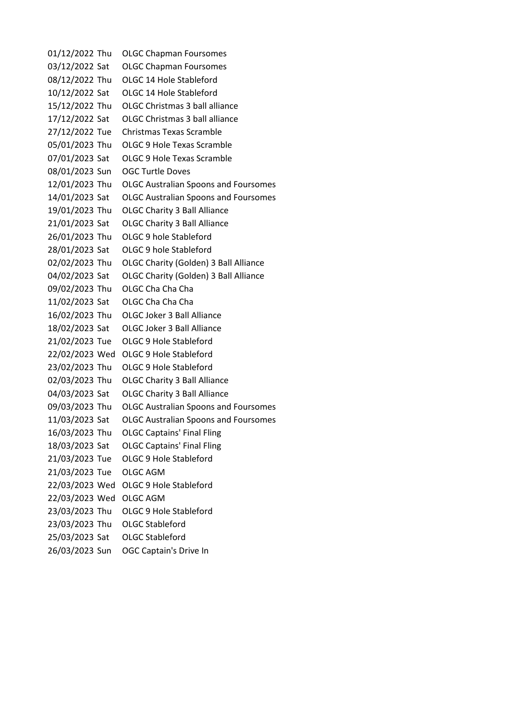01/12/2022 Thu OLGC Chapman Foursomes 03/12/2022 Sat OLGC Chapman Foursomes 08/12/2022 Thu OLGC 14 Hole Stableford 10/12/2022 Sat OLGC 14 Hole Stableford 15/12/2022 Thu OLGC Christmas 3 ball alliance 17/12/2022 Sat OLGC Christmas 3 ball alliance 27/12/2022 Tue Christmas Texas Scramble 05/01/2023 Thu OLGC 9 Hole Texas Scramble 07/01/2023 Sat OLGC 9 Hole Texas Scramble 08/01/2023 Sun OGC Turtle Doves 12/01/2023 Thu OLGC Australian Spoons and Foursomes 14/01/2023 Sat OLGC Australian Spoons and Foursomes 19/01/2023 Thu OLGC Charity 3 Ball Alliance 21/01/2023 Sat OLGC Charity 3 Ball Alliance 26/01/2023 Thu OLGC 9 hole Stableford 28/01/2023 Sat OLGC 9 hole Stableford 02/02/2023 Thu OLGC Charity (Golden) 3 Ball Alliance 04/02/2023 Sat OLGC Charity (Golden) 3 Ball Alliance 09/02/2023 Thu OLGC Cha Cha Cha 11/02/2023 Sat OLGC Cha Cha Cha 16/02/2023 Thu OLGC Joker 3 Ball Alliance 18/02/2023 Sat OLGC Joker 3 Ball Alliance 21/02/2023 Tue OLGC 9 Hole Stableford 22/02/2023 Wed OLGC 9 Hole Stableford 23/02/2023 Thu OLGC 9 Hole Stableford 02/03/2023 Thu OLGC Charity 3 Ball Alliance 04/03/2023 Sat OLGC Charity 3 Ball Alliance 09/03/2023 Thu OLGC Australian Spoons and Foursomes 11/03/2023 Sat OLGC Australian Spoons and Foursomes 16/03/2023 Thu OLGC Captains' Final Fling 18/03/2023 Sat OLGC Captains' Final Fling 21/03/2023 Tue OLGC 9 Hole Stableford 21/03/2023 Tue OLGC AGM 22/03/2023 Wed OLGC 9 Hole Stableford 22/03/2023 Wed OLGC AGM 23/03/2023 Thu OLGC 9 Hole Stableford 23/03/2023 Thu OLGC Stableford 25/03/2023 Sat OLGC Stableford 26/03/2023 Sun OGC Captain's Drive In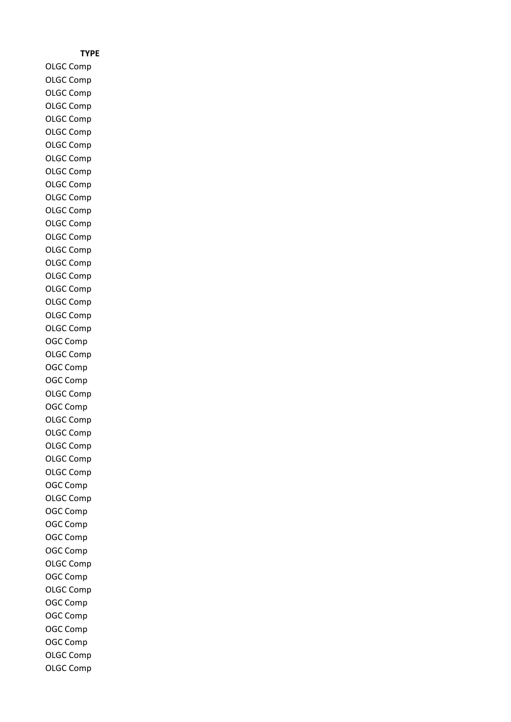## **TYPE**

OLGC Comp OLGC Comp OLGC Comp OLGC Comp OLGC Comp OLGC Comp OLGC Comp OLGC Comp OLGC Comp OLGC Comp OLGC Comp OLGC Comp OLGC Comp OLGC Comp OLGC Comp OLGC Comp OLGC Comp OLGC Comp OLGC Comp OLGC Comp OLGC Comp OGC Comp OLGC Comp OGC Comp OGC Comp OLGC Comp OGC Comp OLGC Comp OLGC Comp OLGC Comp OLGC Comp OLGC Comp OGC Comp OLGC Comp OGC Comp OGC Comp OGC Comp OGC Comp OLGC Comp OGC Comp OLGC Comp OGC Comp OGC Comp OGC Comp OGC Comp OLGC Comp OLGC Comp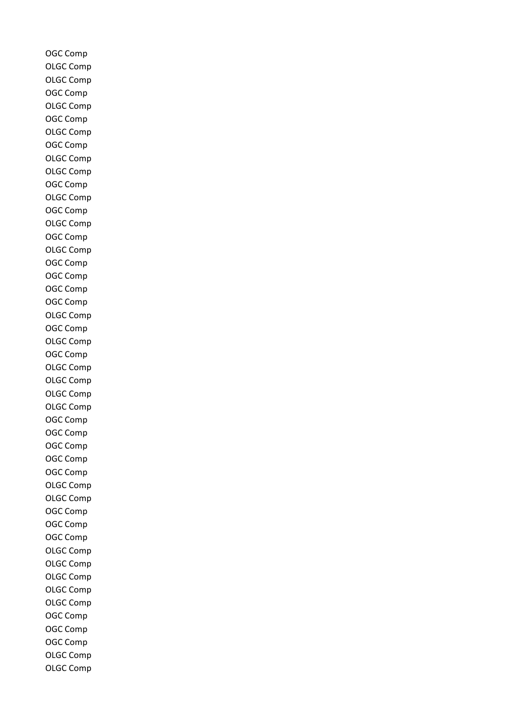OGC Comp OLGC Comp OLGC Comp OGC Comp OLGC Comp OGC Comp OLGC Comp OGC Comp OLGC Comp OLGC Comp OGC Comp OLGC Comp OGC Comp OLGC Comp OGC Comp OLGC Comp OGC Comp OGC Comp OGC Comp OGC Comp OLGC Comp OGC Comp OLGC Comp OGC Comp OLGC Comp OLGC Comp OLGC Comp OLGC Comp OGC Comp OGC Comp OGC Comp OGC Comp OGC Comp OLGC Comp OLGC Comp OGC Comp OGC Comp OGC Comp OLGC Comp OLGC Comp OLGC Comp OLGC Comp OLGC Comp OGC Comp OGC Comp OGC Comp OLGC Comp OLGC Comp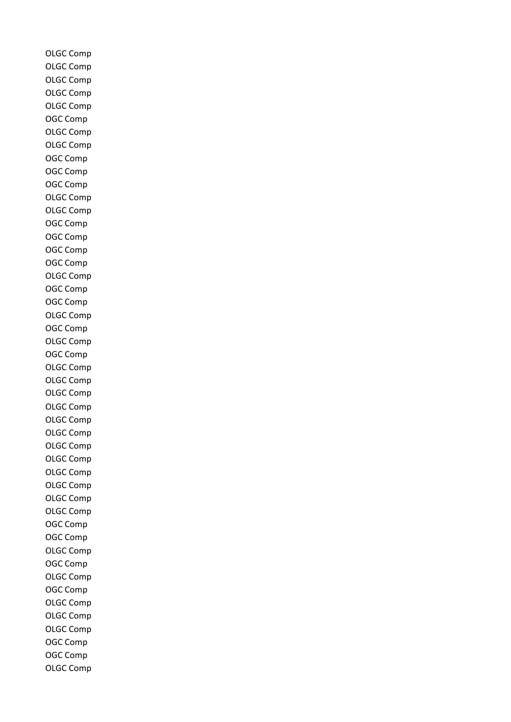OLGC Comp OLGC Comp OLGC Comp OLGC Comp OLGC Comp OGC Comp OLGC Comp OLGC Comp OGC Comp OGC Comp OGC Comp OLGC Comp OLGC Comp OGC Comp OGC Comp OGC Comp OGC Comp OLGC Comp OGC Comp OGC Comp OLGC Comp OGC Comp OLGC Comp OGC Comp OLGC Comp OLGC Comp OLGC Comp OLGC Comp OLGC Comp OLGC Comp OLGC Comp OLGC Comp OLGC Comp OLGC Comp OLGC Comp OLGC Comp OGC Comp OGC Comp OLGC Comp OGC Comp OLGC Comp OGC Comp OLGC Comp OLGC Comp OLGC Comp OGC Comp OGC Comp OLGC Comp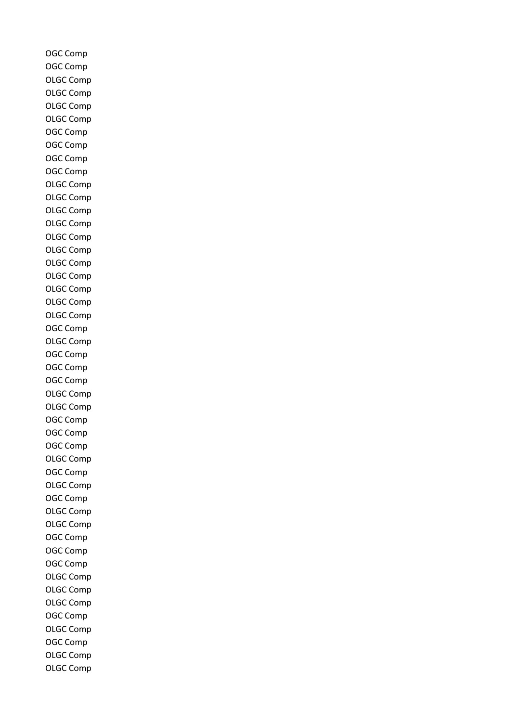OGC Comp OGC Comp OLGC Comp OLGC Comp OLGC Comp OLGC Comp OGC Comp OGC Comp OGC Comp OGC Comp OLGC Comp OLGC Comp OLGC Comp OLGC Comp OLGC Comp OLGC Comp OLGC Comp OLGC Comp OLGC Comp OLGC Comp OLGC Comp OGC Comp OLGC Comp OGC Comp OGC Comp OGC Comp OLGC Comp OLGC Comp OGC Comp OGC Comp OGC Comp OLGC Comp OGC Comp OLGC Comp OGC Comp OLGC Comp OLGC Comp OGC Comp OGC Comp OGC Comp OLGC Comp OLGC Comp OLGC Comp OGC Comp OLGC Comp OGC Comp OLGC Comp OLGC Comp